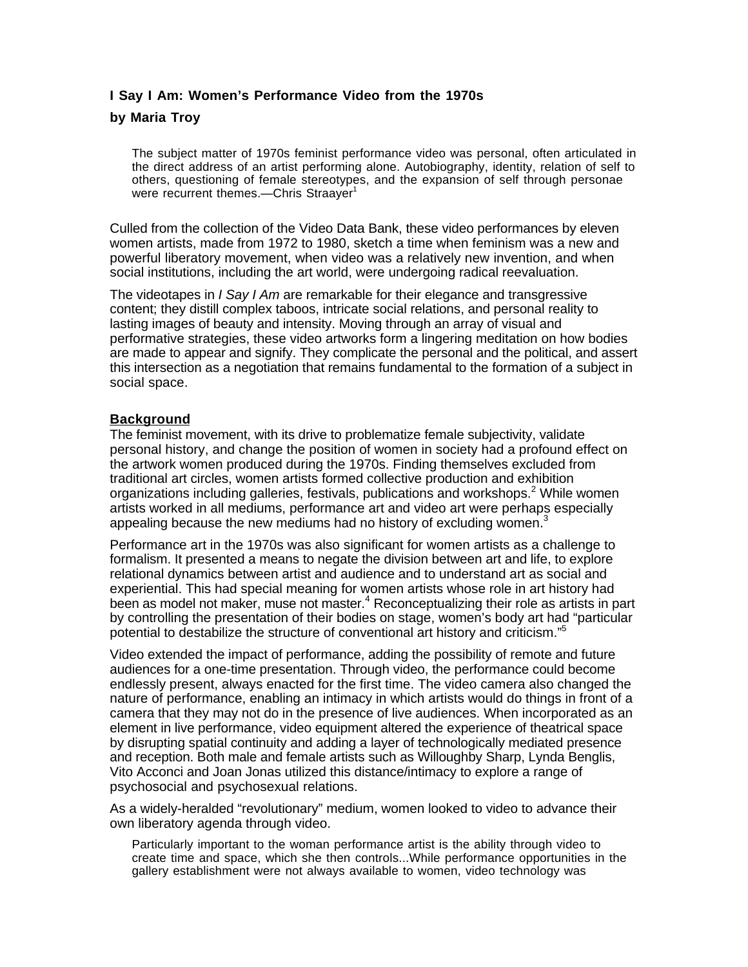# **I Say I Am: Women's Performance Video from the 1970s**

## **by Maria Troy**

The subject matter of 1970s feminist performance video was personal, often articulated in the direct address of an artist performing alone. Autobiography, identity, relation of self to others, questioning of female stereotypes, and the expansion of self through personae were recurrent themes.—Chris Straayer<sup>1</sup>

Culled from the collection of the Video Data Bank, these video performances by eleven women artists, made from 1972 to 1980, sketch a time when feminism was a new and powerful liberatory movement, when video was a relatively new invention, and when social institutions, including the art world, were undergoing radical reevaluation.

The videotapes in *I Say I Am* are remarkable for their elegance and transgressive content; they distill complex taboos, intricate social relations, and personal reality to lasting images of beauty and intensity. Moving through an array of visual and performative strategies, these video artworks form a lingering meditation on how bodies are made to appear and signify. They complicate the personal and the political, and assert this intersection as a negotiation that remains fundamental to the formation of a subject in social space.

### **Background**

The feminist movement, with its drive to problematize female subjectivity, validate personal history, and change the position of women in society had a profound effect on the artwork women produced during the 1970s. Finding themselves excluded from traditional art circles, women artists formed collective production and exhibition organizations including galleries, festivals, publications and workshops.<sup>2</sup> While women artists worked in all mediums, performance art and video art were perhaps especially appealing because the new mediums had no history of excluding women. $3$ 

Performance art in the 1970s was also significant for women artists as a challenge to formalism. It presented a means to negate the division between art and life, to explore relational dynamics between artist and audience and to understand art as social and experiential. This had special meaning for women artists whose role in art history had been as model not maker, muse not master.<sup>4</sup> Reconceptualizing their role as artists in part by controlling the presentation of their bodies on stage, women's body art had "particular potential to destabilize the structure of conventional art history and criticism."5

Video extended the impact of performance, adding the possibility of remote and future audiences for a one-time presentation. Through video, the performance could become endlessly present, always enacted for the first time. The video camera also changed the nature of performance, enabling an intimacy in which artists would do things in front of a camera that they may not do in the presence of live audiences. When incorporated as an element in live performance, video equipment altered the experience of theatrical space by disrupting spatial continuity and adding a layer of technologically mediated presence and reception. Both male and female artists such as Willoughby Sharp, Lynda Benglis, Vito Acconci and Joan Jonas utilized this distance/intimacy to explore a range of psychosocial and psychosexual relations.

As a widely-heralded "revolutionary" medium, women looked to video to advance their own liberatory agenda through video.

Particularly important to the woman performance artist is the ability through video to create time and space, which she then controls...While performance opportunities in the gallery establishment were not always available to women, video technology was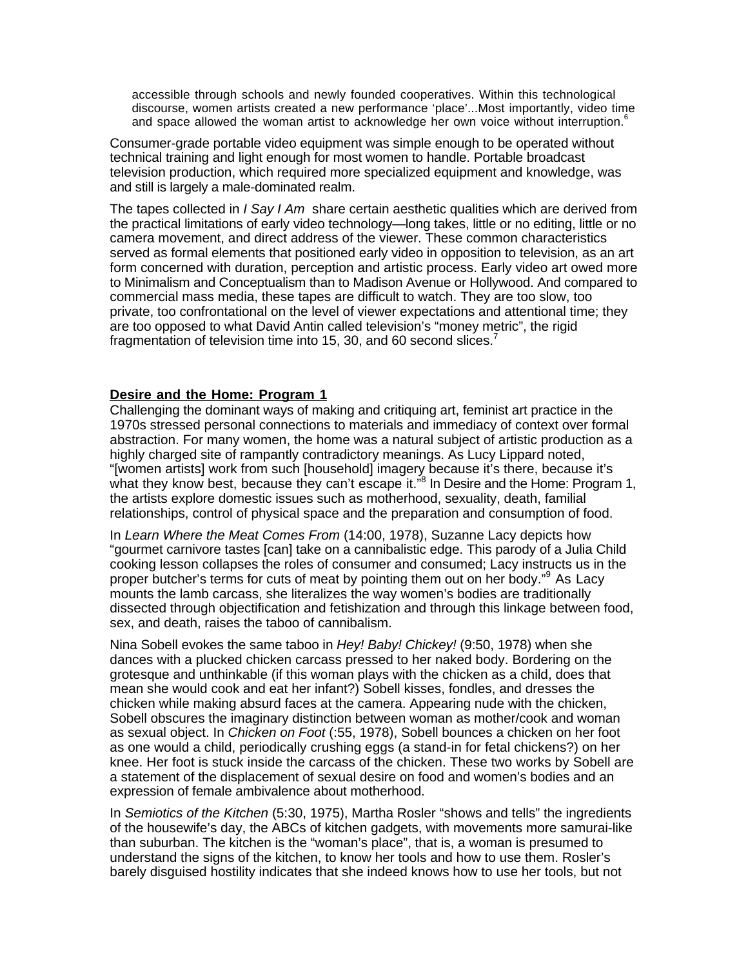accessible through schools and newly founded cooperatives. Within this technological discourse, women artists created a new performance 'place'...Most importantly, video time and space allowed the woman artist to acknowledge her own voice without interruption.<sup>6</sup>

Consumer-grade portable video equipment was simple enough to be operated without technical training and light enough for most women to handle. Portable broadcast television production, which required more specialized equipment and knowledge, was and still is largely a male-dominated realm.

The tapes collected in *I Say I Am* share certain aesthetic qualities which are derived from the practical limitations of early video technology—long takes, little or no editing, little or no camera movement, and direct address of the viewer. These common characteristics served as formal elements that positioned early video in opposition to television, as an art form concerned with duration, perception and artistic process. Early video art owed more to Minimalism and Conceptualism than to Madison Avenue or Hollywood. And compared to commercial mass media, these tapes are difficult to watch. They are too slow, too private, too confrontational on the level of viewer expectations and attentional time; they are too opposed to what David Antin called television's "money metric", the rigid fragmentation of television time into 15, 30, and 60 second slices.<sup>7</sup>

### **Desire and the Home: Program 1**

Challenging the dominant ways of making and critiquing art, feminist art practice in the 1970s stressed personal connections to materials and immediacy of context over formal abstraction. For many women, the home was a natural subject of artistic production as a highly charged site of rampantly contradictory meanings. As Lucy Lippard noted, "[women artists] work from such [household] imagery because it's there, because it's what they know best, because they can't escape it."<sup>8</sup> In Desire and the Home: Program 1, the artists explore domestic issues such as motherhood, sexuality, death, familial relationships, control of physical space and the preparation and consumption of food.

In *Learn Where the Meat Comes From* (14:00, 1978), Suzanne Lacy depicts how "gourmet carnivore tastes [can] take on a cannibalistic edge. This parody of a Julia Child cooking lesson collapses the roles of consumer and consumed; Lacy instructs us in the proper butcher's terms for cuts of meat by pointing them out on her body."<sup>9</sup> As Lacy mounts the lamb carcass, she literalizes the way women's bodies are traditionally dissected through objectification and fetishization and through this linkage between food, sex, and death, raises the taboo of cannibalism.

Nina Sobell evokes the same taboo in *Hey! Baby! Chickey!* (9:50, 1978) when she dances with a plucked chicken carcass pressed to her naked body. Bordering on the grotesque and unthinkable (if this woman plays with the chicken as a child, does that mean she would cook and eat her infant?) Sobell kisses, fondles, and dresses the chicken while making absurd faces at the camera. Appearing nude with the chicken, Sobell obscures the imaginary distinction between woman as mother/cook and woman as sexual object. In *Chicken on Foot* (:55, 1978), Sobell bounces a chicken on her foot as one would a child, periodically crushing eggs (a stand-in for fetal chickens?) on her knee. Her foot is stuck inside the carcass of the chicken. These two works by Sobell are a statement of the displacement of sexual desire on food and women's bodies and an expression of female ambivalence about motherhood.

In *Semiotics of the Kitchen* (5:30, 1975), Martha Rosler "shows and tells" the ingredients of the housewife's day, the ABCs of kitchen gadgets, with movements more samurai-like than suburban. The kitchen is the "woman's place", that is, a woman is presumed to understand the signs of the kitchen, to know her tools and how to use them. Rosler's barely disguised hostility indicates that she indeed knows how to use her tools, but not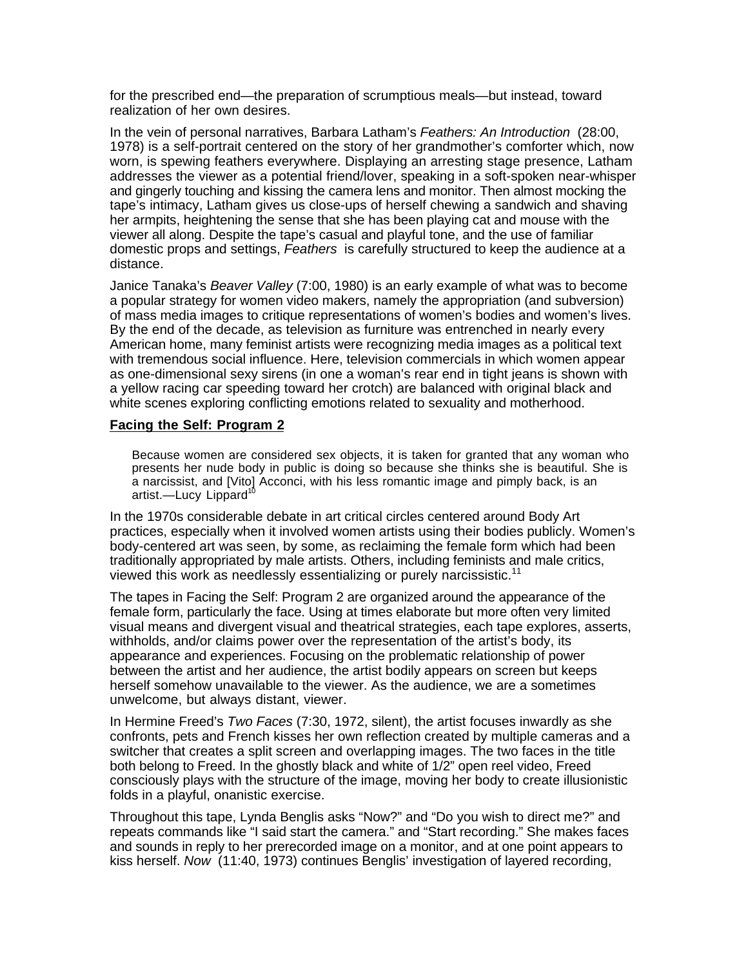for the prescribed end—the preparation of scrumptious meals—but instead, toward realization of her own desires.

In the vein of personal narratives, Barbara Latham's *Feathers: An Introduction* (28:00, 1978) is a self-portrait centered on the story of her grandmother's comforter which, now worn, is spewing feathers everywhere. Displaying an arresting stage presence, Latham addresses the viewer as a potential friend/lover, speaking in a soft-spoken near-whisper and gingerly touching and kissing the camera lens and monitor. Then almost mocking the tape's intimacy, Latham gives us close-ups of herself chewing a sandwich and shaving her armpits, heightening the sense that she has been playing cat and mouse with the viewer all along. Despite the tape's casual and playful tone, and the use of familiar domestic props and settings, *Feathers* is carefully structured to keep the audience at a distance.

Janice Tanaka's *Beaver Valley* (7:00, 1980) is an early example of what was to become a popular strategy for women video makers, namely the appropriation (and subversion) of mass media images to critique representations of women's bodies and women's lives. By the end of the decade, as television as furniture was entrenched in nearly every American home, many feminist artists were recognizing media images as a political text with tremendous social influence. Here, television commercials in which women appear as one-dimensional sexy sirens (in one a woman's rear end in tight jeans is shown with a yellow racing car speeding toward her crotch) are balanced with original black and white scenes exploring conflicting emotions related to sexuality and motherhood.

### **Facing the Self: Program 2**

Because women are considered sex objects, it is taken for granted that any woman who presents her nude body in public is doing so because she thinks she is beautiful. She is a narcissist, and [Vito] Acconci, with his less romantic image and pimply back, is an artist.-Lucy Lippard<sup>10</sup>

In the 1970s considerable debate in art critical circles centered around Body Art practices, especially when it involved women artists using their bodies publicly. Women's body-centered art was seen, by some, as reclaiming the female form which had been traditionally appropriated by male artists. Others, including feminists and male critics, viewed this work as needlessly essentializing or purely narcissistic.<sup>11</sup>

The tapes in Facing the Self: Program 2 are organized around the appearance of the female form, particularly the face. Using at times elaborate but more often very limited visual means and divergent visual and theatrical strategies, each tape explores, asserts, withholds, and/or claims power over the representation of the artist's body, its appearance and experiences. Focusing on the problematic relationship of power between the artist and her audience, the artist bodily appears on screen but keeps herself somehow unavailable to the viewer. As the audience, we are a sometimes unwelcome, but always distant, viewer.

In Hermine Freed's *Two Faces* (7:30, 1972, silent), the artist focuses inwardly as she confronts, pets and French kisses her own reflection created by multiple cameras and a switcher that creates a split screen and overlapping images. The two faces in the title both belong to Freed. In the ghostly black and white of 1/2" open reel video, Freed consciously plays with the structure of the image, moving her body to create illusionistic folds in a playful, onanistic exercise.

Throughout this tape, Lynda Benglis asks "Now?" and "Do you wish to direct me?" and repeats commands like "I said start the camera." and "Start recording." She makes faces and sounds in reply to her prerecorded image on a monitor, and at one point appears to kiss herself. *Now* (11:40, 1973) continues Benglis' investigation of layered recording,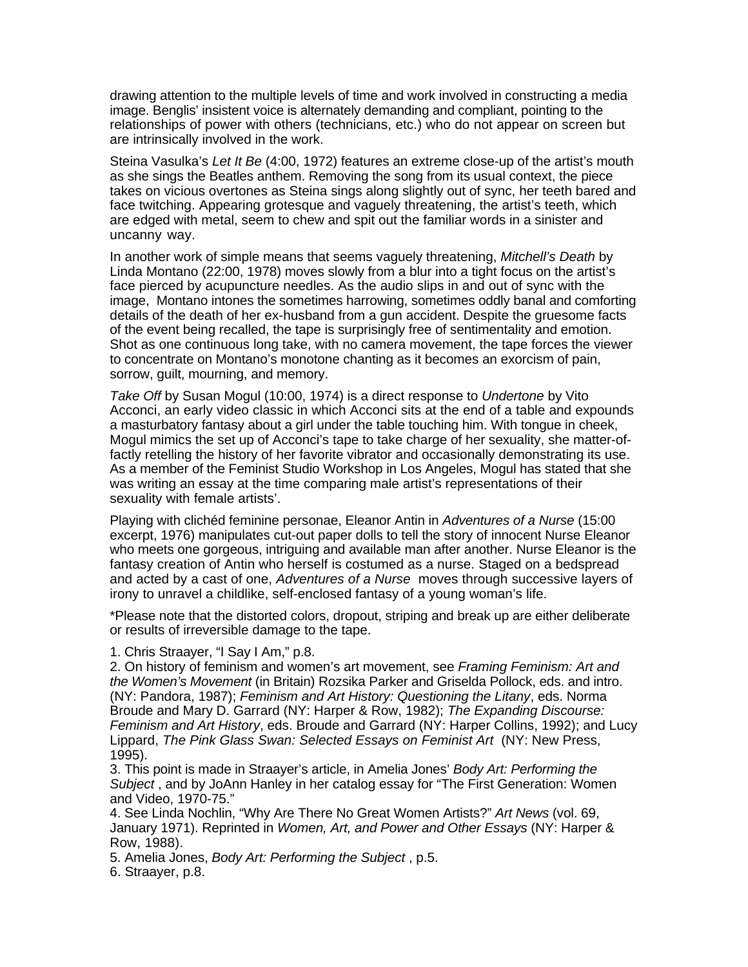drawing attention to the multiple levels of time and work involved in constructing a media image. Benglis' insistent voice is alternately demanding and compliant, pointing to the relationships of power with others (technicians, etc.) who do not appear on screen but are intrinsically involved in the work.

Steina Vasulka's *Let It Be* (4:00, 1972) features an extreme close-up of the artist's mouth as she sings the Beatles anthem. Removing the song from its usual context, the piece takes on vicious overtones as Steina sings along slightly out of sync, her teeth bared and face twitching. Appearing grotesque and vaguely threatening, the artist's teeth, which are edged with metal, seem to chew and spit out the familiar words in a sinister and uncanny way.

In another work of simple means that seems vaguely threatening, *Mitchell's Death* by Linda Montano (22:00, 1978) moves slowly from a blur into a tight focus on the artist's face pierced by acupuncture needles. As the audio slips in and out of sync with the image, Montano intones the sometimes harrowing, sometimes oddly banal and comforting details of the death of her ex-husband from a gun accident. Despite the gruesome facts of the event being recalled, the tape is surprisingly free of sentimentality and emotion. Shot as one continuous long take, with no camera movement, the tape forces the viewer to concentrate on Montano's monotone chanting as it becomes an exorcism of pain, sorrow, guilt, mourning, and memory.

*Take Off* by Susan Mogul (10:00, 1974) is a direct response to *Undertone* by Vito Acconci, an early video classic in which Acconci sits at the end of a table and expounds a masturbatory fantasy about a girl under the table touching him. With tongue in cheek, Mogul mimics the set up of Acconci's tape to take charge of her sexuality, she matter-offactly retelling the history of her favorite vibrator and occasionally demonstrating its use. As a member of the Feminist Studio Workshop in Los Angeles, Mogul has stated that she was writing an essay at the time comparing male artist's representations of their sexuality with female artists'.

Playing with clichéd feminine personae, Eleanor Antin in *Adventures of a Nurse* (15:00 excerpt, 1976) manipulates cut-out paper dolls to tell the story of innocent Nurse Eleanor who meets one gorgeous, intriguing and available man after another. Nurse Eleanor is the fantasy creation of Antin who herself is costumed as a nurse. Staged on a bedspread and acted by a cast of one, *Adventures of a Nurse* moves through successive layers of irony to unravel a childlike, self-enclosed fantasy of a young woman's life.

\*Please note that the distorted colors, dropout, striping and break up are either deliberate or results of irreversible damage to the tape.

1. Chris Straayer, "I Say I Am," p.8.

2. On history of feminism and women's art movement, see *Framing Feminism: Art and the Women's Movement* (in Britain) Rozsika Parker and Griselda Pollock, eds. and intro. (NY: Pandora, 1987); *Feminism and Art History: Questioning the Litany*, eds. Norma Broude and Mary D. Garrard (NY: Harper & Row, 1982); *The Expanding Discourse: Feminism and Art History*, eds. Broude and Garrard (NY: Harper Collins, 1992); and Lucy Lippard, *The Pink Glass Swan: Selected Essays on Feminist Art* (NY: New Press, 1995).

3. This point is made in Straayer's article, in Amelia Jones' *Body Art: Performing the Subject* , and by JoAnn Hanley in her catalog essay for "The First Generation: Women and Video, 1970-75."

4. See Linda Nochlin, "Why Are There No Great Women Artists?" *Art News* (vol. 69, January 1971). Reprinted in *Women, Art, and Power and Other Essays* (NY: Harper & Row, 1988).

5. Amelia Jones, *Body Art: Performing the Subject* , p.5. 6. Straayer, p.8.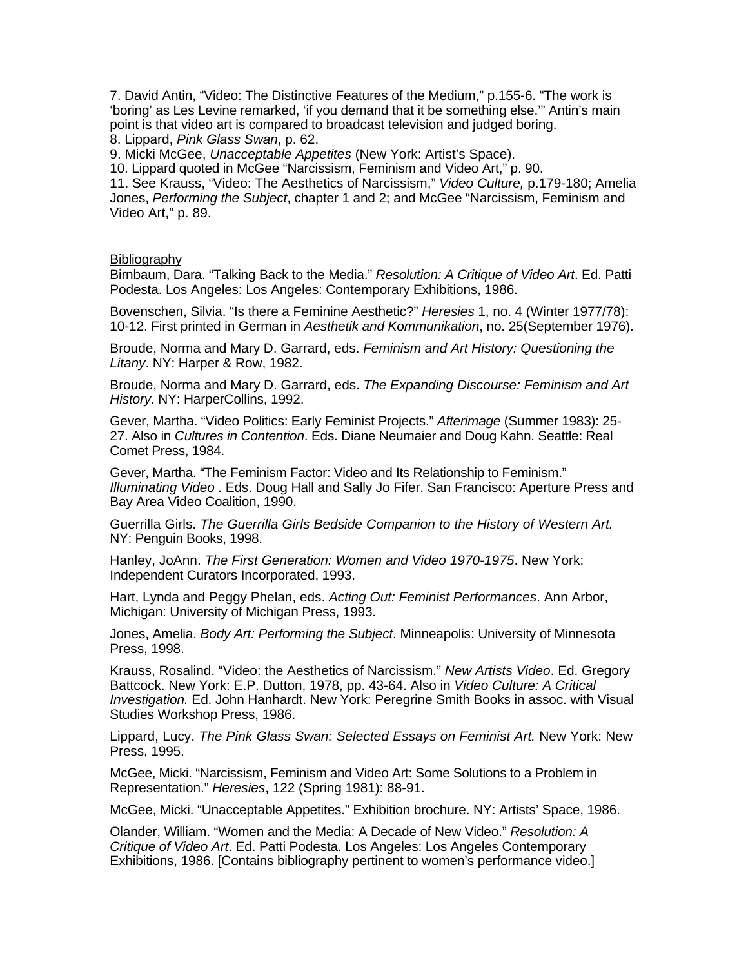7. David Antin, "Video: The Distinctive Features of the Medium," p.155-6. "The work is 'boring' as Les Levine remarked, 'if you demand that it be something else.'" Antin's main point is that video art is compared to broadcast television and judged boring. 8. Lippard, *Pink Glass Swan*, p. 62.

9. Micki McGee, *Unacceptable Appetites* (New York: Artist's Space).

10. Lippard quoted in McGee "Narcissism, Feminism and Video Art," p. 90.

11. See Krauss, "Video: The Aesthetics of Narcissism," *Video Culture,* p.179-180; Amelia Jones, *Performing the Subject*, chapter 1 and 2; and McGee "Narcissism, Feminism and Video Art," p. 89.

#### Bibliography

Birnbaum, Dara. "Talking Back to the Media." *Resolution: A Critique of Video Art*. Ed. Patti Podesta. Los Angeles: Los Angeles: Contemporary Exhibitions, 1986.

Bovenschen, Silvia. "Is there a Feminine Aesthetic?" *Heresies* 1, no. 4 (Winter 1977/78): 10-12. First printed in German in *Aesthetik and Kommunikation*, no. 25(September 1976).

Broude, Norma and Mary D. Garrard, eds. *Feminism and Art History: Questioning the Litany*. NY: Harper & Row, 1982.

Broude, Norma and Mary D. Garrard, eds. *The Expanding Discourse: Feminism and Art History*. NY: HarperCollins, 1992.

Gever, Martha. "Video Politics: Early Feminist Projects." *Afterimage* (Summer 1983): 25- 27. Also in *Cultures in Contention*. Eds. Diane Neumaier and Doug Kahn. Seattle: Real Comet Press, 1984.

Gever, Martha. "The Feminism Factor: Video and Its Relationship to Feminism." *Illuminating Video* . Eds. Doug Hall and Sally Jo Fifer. San Francisco: Aperture Press and Bay Area Video Coalition, 1990.

Guerrilla Girls. *The Guerrilla Girls Bedside Companion to the History of Western Art.* NY: Penguin Books, 1998.

Hanley, JoAnn. *The First Generation: Women and Video 1970-1975*. New York: Independent Curators Incorporated, 1993.

Hart, Lynda and Peggy Phelan, eds. *Acting Out: Feminist Performances*. Ann Arbor, Michigan: University of Michigan Press, 1993.

Jones, Amelia. *Body Art: Performing the Subject*. Minneapolis: University of Minnesota Press, 1998.

Krauss, Rosalind. "Video: the Aesthetics of Narcissism." *New Artists Video*. Ed. Gregory Battcock. New York: E.P. Dutton, 1978, pp. 43-64. Also in *Video Culture: A Critical Investigation.* Ed. John Hanhardt. New York: Peregrine Smith Books in assoc. with Visual Studies Workshop Press, 1986.

Lippard, Lucy. *The Pink Glass Swan: Selected Essays on Feminist Art.* New York: New Press, 1995.

McGee, Micki. "Narcissism, Feminism and Video Art: Some Solutions to a Problem in Representation." *Heresies*, 122 (Spring 1981): 88-91.

McGee, Micki. "Unacceptable Appetites." Exhibition brochure. NY: Artists' Space, 1986.

Olander, William. "Women and the Media: A Decade of New Video." *Resolution: A Critique of Video Art*. Ed. Patti Podesta. Los Angeles: Los Angeles Contemporary Exhibitions, 1986. [Contains bibliography pertinent to women's performance video.]